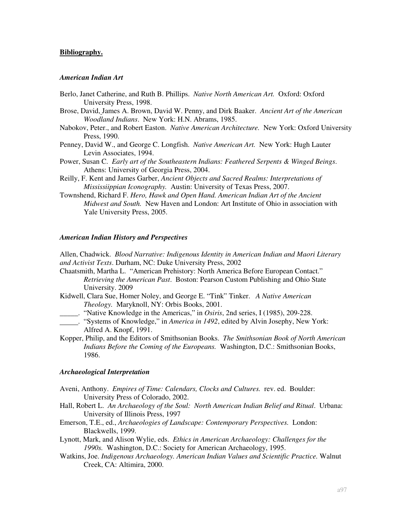## **Bibliography.**

## *American Indian Art*

- Berlo, Janet Catherine, and Ruth B. Phillips. *Native North American Art.* Oxford: Oxford University Press, 1998.
- Brose, David, James A. Brown, David W. Penny, and Dirk Baaker. *Ancient Art of the American Woodland Indians*. New York: H.N. Abrams, 1985.
- Nabokov, Peter., and Robert Easton. *Native American Architecture.* New York: Oxford University Press, 1990.
- Penney, David W., and George C. Longfish. *Native American Art.* New York: Hugh Lauter Levin Associates, 1994.
- Power, Susan C. *Early art of the Southeastern Indians: Feathered Serpents & Winged Beings*. Athens: University of Georgia Press, 2004.
- Reilly, F. Kent and James Garber, *Ancient Objects and Sacred Realms: Interpretations of Mississiippian Iconography.* Austin: University of Texas Press, 2007.
- Townshend, Richard F. *Hero, Hawk and Open Hand. American Indian Art of the Ancient Midwest and South.* New Haven and London: Art Institute of Ohio in association with Yale University Press, 2005.

## *American Indian History and Perspectives*

Allen, Chadwick. *Blood Narrative: Indigenous Identity in American Indian and Maori Literary and Activist Texts*. Durham, NC: Duke University Press, 2002

- Chaatsmith, Martha L. "American Prehistory: North America Before European Contact." *Retrieving the American Past*. Boston: Pearson Custom Publishing and Ohio State University. 2009
- Kidwell, Clara Sue, Homer Noley, and George E. "Tink" Tinker. *A Native American Theology.* Maryknoll, NY: Orbis Books, 2001.
- \_\_\_\_\_. "Native Knowledge in the Americas," in *Osiris*, 2nd series, I (1985), 209-228.
- . "Systems of Knowledge," in *America in 1492*, edited by Alvin Josephy, New York: Alfred A. Knopf, 1991.
- Kopper, Philip, and the Editors of Smithsonian Books. *The Smithsonian Book of North American Indians Before the Coming of the Europeans.* Washington, D.C.: Smithsonian Books, 1986.

#### *Archaeological Interpretation*

- Aveni, Anthony. *Empires of Time: Calendars, Clocks and Cultures.* rev. ed.Boulder: University Press of Colorado, 2002.
- Hall, Robert L. *An Archaeology of the Soul: North American Indian Belief and Ritual*. Urbana: University of Illinois Press, 1997
- Emerson, T.E., ed., *Archaeologies of Landscape: Contemporary Perspectives.* London: Blackwells, 1999.
- Lynott, Mark, and Alison Wylie, eds. *Ethics in American Archaeology: Challenges for the 1990s.* Washington, D.C.: Society for American Archaeology, 1995.
- Watkins, Joe. *Indigenous Archaeology. American Indian Values and Scientific Practice.* Walnut Creek, CA: Altimira, 2000.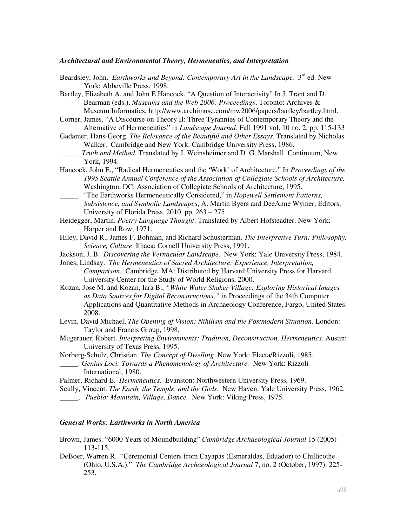### *Architectural and Environmental Theory, Hermeneutics, and Interpretation*

- Beardsley, John. *Earthworks and Beyond: Contemporary Art in the Landscape.* 3<sup>rd</sup> ed. New York: Abbeville Press, 1998.
- Bartley, Elizabeth A. and John E Hancock. "A Question of Interactivity" In J. Trant and D. Bearman (eds.). *Museums and the Web 2006: Proceedings*, Toronto: Archives & Museum Informatics, http://www.archimuse.com/mw2006/papers/bartley/bartley.html.
- Corner, James, "A Discourse on Theory II: Three Tyrannies of Contemporary Theory and the Alternative of Hermeneutics" in *Landscape Journal*. Fall 1991 vol. 10 no. 2, pp. 115-133
- Gadamer, Hans-Georg. *The Relevance of the Beautiful and Other Essays*. Translated by Nicholas Walker. Cambridge and New York: Cambridge University Press, 1986.
- \_\_\_\_\_. *Truth and Method.* Translated by J. Weinsheimer and D. G. Marshall. Continuum, New York, 1994.
- Hancock, John E., "Radical Hermeneutics and the 'Work' of Architecture." In *Proceedings of the 1995 Seattle Annual Conference of the Association of Collegiate Schools of Architecture.*  Washington, DC: Association of Collegiate Schools of Architecture, 1995.
- \_\_\_\_\_. "The Earthworks Hermeneutically Considered," in *Hopewell Settlement Patterns, Subsistence, and Symbolic Landscapes*, A. Martin Byers and DeeAnne Wymer, Editors, University of Florida Press, 2010. pp. 263 – 275.
- Heidegger, Martin. *Poetry Language Thought*. Translated by Albert Hofsteadter. New York: Harper and Row, 1971.
- Hiley, David R., James F. Bohman, and Richard Schusterman. *The Interpretive Turn: Philosophy, Science, Culture*. Ithaca: Cornell University Press, 1991.
- Jackson, J. B. *Discovering the Vernacular Landscape.* New York: Yale University Press, 1984.
- Jones, Lindsay. *The Hermeneutics of Sacred Architecture: Experience, Interpretation, Comparison.* Cambridge, MA: Distributed by Harvard University Press for Harvard University Center for the Study of World Religions, 2000.
- Kozan, Jose M. and Kozan, Iara B., *"White Water Shaker Village: Exploring Historical Images as Data Sources for Digital Reconstructions,"* in Proceedings of the 34th Computer Applications and Quantitative Methods in Archaeology Conference, Fargo, United States. 2008.
- Levin, David Michael, *The Opening of Vision: Nihilism and the Postmodern Situation.* London: Taylor and Francis Group, 1998.
- Mugerauer, Robert. *Interpreting Environments: Tradition, Deconstruction, Hermeneutics.* Austin: University of Texas Press, 1995.
- Norberg-Schulz, Christian. *The Concept of Dwelling*. New York: Electa/Rizzoli, 1985.
- \_\_\_\_\_. *Genius Loci: Towards a Phenomenology of Architecture.* New York: Rizzoli International, 1980.
- Palmer, Richard E. *Hermeneutics.* Evanston: Northwestern University Press, 1969.
- Scully, Vincent. *The Earth, the Temple, and the Gods*. New Haven: Yale University Press, 1962.
- , *Pueblo: Mountain, Village, Dance.* New York: Viking Press, 1975.

## *General Works: Earthworks in North America*

- Brown, James. "6000 Years of Moundbuilding" *Cambridge Archaeological Journal* 15 (2005) 113-115.
- DeBoer, Warren R. "Ceremonial Centers from Cayapas (Esmeraldas, Eduador) to Chillicothe (Ohio, U.S.A.)." *The Cambridge Archaeological Journal* 7, no. 2 (October, 1997): 225- 253.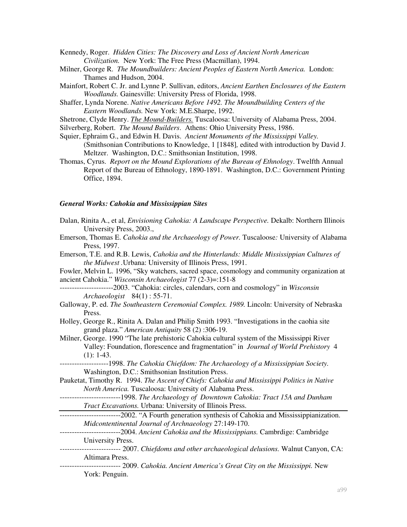Kennedy, Roger. *Hidden Cities: The Discovery and Loss of Ancient North American Civilization.* New York: The Free Press (Macmillan), 1994.

- Milner, George R. *The Moundbuilders: Ancient Peoples of Eastern North America.* London: Thames and Hudson, 2004.
- Mainfort, Robert C. Jr. and Lynne P. Sullivan, editors, *Ancient Earthen Enclosures of the Eastern Woodlands.* Gainesville: University Press of Florida, 1998.
- Shaffer, Lynda Norene. *Native Americans Before 1492. The Moundbuilding Centers of the Eastern Woodlands.* New York: M.E.Sharpe, 1992.
- Shetrone, Clyde Henry. *The Mound-Builders.* Tuscaloosa: University of Alabama Press, 2004.
- Silverberg, Robert. *The Mound Builders*. Athens: Ohio University Press, 1986.
- Squier, Ephraim G., and Edwin H. Davis. *Ancient Monuments of the Mississippi Valley.*  (Smithsonian Contributions to Knowledge, 1 [1848]*,* edited with introduction by David J. Meltzer. Washington, D.C.: Smithsonian Institution, 1998.
- Thomas, Cyrus. *Report on the Mound Explorations of the Bureau of Ethnology*. Twelfth Annual Report of the Bureau of Ethnology, 1890-1891. Washington, D.C.: Government Printing Office, 1894.

#### *General Works: Cahokia and Mississippian Sites*

- Dalan, Rinita A., et al, *Envisioning Cahokia: A Landscape Perspective.* Dekalb: Northern Illinois University Press, 2003.,
- Emerson, Thomas E. *Cahokia and the Archaeology of Power.* Tuscaloose*:* University of Alabama Press, 1997.
- Emerson, T.E. and R.B. Lewis, *Cahokia and the Hinterlands: Middle Mississippian Cultures of the Midwest .*Urbana: University of Illinois Press, 1991.

Fowler, Melvin L. 1996, "Sky watchers, sacred space, cosmology and community organization at ancient Cahokia." *Wisconsin Archaeologist* 77 (2-3)=:151-8

- ----------------------2003. "Cahokia: circles, calendars, corn and cosmology" in *Wisconsin Archaeologist* 84(1) : 55-71.
- Galloway, P. ed. *The Southeastern Ceremonial Complex. 1989.* Lincoln: University of Nebraska Press.
- Holley, George R., Rinita A. Dalan and Philip Smith 1993. "Investigations in the caohia site grand plaza." *American Antiquity* 58 (2) :306-19.
- Milner, George. 1990 "The late prehistoric Cahokia cultural system of the Mississippi River Valley: Foundation, florescence and fragmentation" in *Journal of World Prehistory* 4  $(1): 1-43.$
- --------------------1998. *The Cahokia Chiefdom: The Archaeology of a Mississippian Society.* Washington, D.C.: Smithsonian Institution Press.
- Pauketat, Timothy R. 1994. *The Ascent of Chiefs: Cahokia and Mississippi Politics in Native North America.* Tuscaloosa: University of Alabama Press.
- -------------------------1998. *The Archaeology of Downtown Cahokia: Tract 15A and Dunham Tract Excavations.* Urbana: University of Illinois Press.
- **THE TE-1000-1000-1000-2002.** "A Fourth generation synthesis of Cahokia and Mississippianization. *Midcontentinental Journal of Archnaeology* 27:149-170.
- -------------------------2004. *Ancient Cahokia and the Mississippians.* Cambrdige: Cambridge University Press.
- *-------------------------* 2007. *Chiefdoms and other archaeological delusions.* Walnut Canyon, CA: Altimara Press.
- ------------------------- 2009. *Cahokia. Ancient America's Great City on the Mississippi.* New York: Penguin.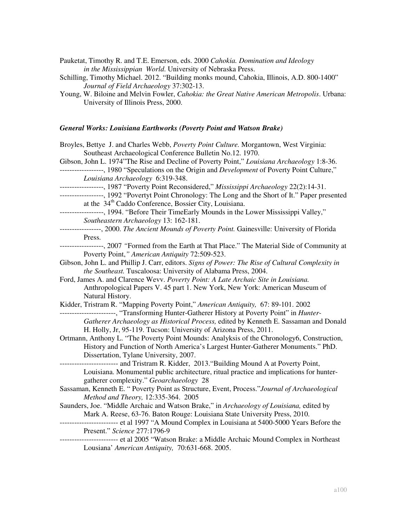Pauketat, Timothy R. and T.E. Emerson, eds. 2000 *Cahokia. Domination and Ideology in the Mississippian World*. University of Nebraska Press.

Schilling, Timothy Michael. 2012. "Building monks mound, Cahokia, Illinois, A.D. 800-1400" *Journal of Field Archaeology* 37:302-13.

# *General Works: Louisiana Earthworks (Poverty Point and Watson Brake)*

| Broyles, Bettye J. and Charles Webb, Poverty Point Culture. Morgantown, West Virginia:                                                                                   |
|--------------------------------------------------------------------------------------------------------------------------------------------------------------------------|
| Southeast Archaeological Conference Bulletin No.12. 1970.                                                                                                                |
| Gibson, John L. 1974"The Rise and Decline of Poverty Point," Louisiana Archaeology 1:8-36.                                                                               |
| ------------------, 1980 "Speculations on the Origin and Development of Poverty Point Culture,"                                                                          |
| Louisiana Archaeology 6:319-348.                                                                                                                                         |
| -----------------, 1987 "Poverty Point Reconsidered," Mississippi Archaeology 22(2):14-31.                                                                               |
| -----------------, 1992 "Povertyt Point Chronology: The Long and the Short of It." Paper presented<br>at the 34 <sup>th</sup> Caddo Conference, Bossier City, Louisiana. |
| -----------------, 1994. "Before Their TimeEarly Mounds in the Lower Mississippi Valley,"                                                                                |
| Southeastern Archaeology 13: 162-181.                                                                                                                                    |
| ----------------, 2000. The Ancient Mounds of Poverty Point. Gainesville: University of Florida                                                                          |
| Press.                                                                                                                                                                   |
| -----------------, 2007 "Formed from the Earth at That Place." The Material Side of Community at                                                                         |
| Poverty Point," American Antiquity 72:509-523.                                                                                                                           |
| Gibson, John L. and Phillip J. Carr, editors. Signs of Power: The Rise of Cultural Complexity in                                                                         |
| the Southeast. Tuscaloosa: University of Alabama Press, 2004.                                                                                                            |
| Ford, James A. and Clarence Wevv. Poverty Point: A Late Archaic Site in Louisiana.                                                                                       |
| Anthropological Papers V. 45 part 1. New York, New York: American Museum of                                                                                              |
| Natural History.                                                                                                                                                         |
| Kidder, Tristram R. "Mapping Poverty Point," American Antiquity, 67: 89-101. 2002                                                                                        |
| ----------------------, "Transforming Hunter-Gatherer History at Poverty Point" in Hunter-                                                                               |
| Gatherer Archaeology as Historical Process, edited by Kenneth E. Sassaman and Donald                                                                                     |
| H. Holly, Jr, 95-119. Tucson: University of Arizona Press, 2011.                                                                                                         |
| Ortmann, Anthony L. "The Poverty Point Mounds: Analyksis of the Chronology6, Construction,                                                                               |
| History and Function of North America's Largest Hunter-Gatherer Monuments." PhD.                                                                                         |
| Dissertation, Tylane University, 2007.                                                                                                                                   |
| ------------------------ and Tristram R. Kidder, 2013. "Building Mound A at Poverty Point,                                                                               |
| Louisiana. Monumental public architecture, ritual practice and implications for hunter-                                                                                  |
| gatherer complexity." Geoarchaeology 28                                                                                                                                  |
| Sassaman, Kenneth E. "Poverty Point as Structure, Event, Process."Journal of Archaeological                                                                              |
| Method and Theory, 12:335-364. 2005                                                                                                                                      |
| Saunders, Joe. "Middle Archaic and Watson Brake," in Archaeology of Louisiana, edited by                                                                                 |
| Mark A. Reese, 63-76. Baton Rouge: Louisiana State University Press, 2010.                                                                                               |
| ------------------------ et al 1997 "A Mound Complex in Louisiana at 5400-5000 Years Before the                                                                          |
| Present." Science 277:1796-9                                                                                                                                             |
| ----------------------- et al 2005 "Watson Brake: a Middle Archaic Mound Complex in Northeast<br>Lousiana' American Antiquity, 70:631-668. 2005.                         |
|                                                                                                                                                                          |

Young, W. Biloine and Melvin Fowler, *Cahokia: the Great Native American Metropolis*. Urbana: University of Illinois Press, 2000.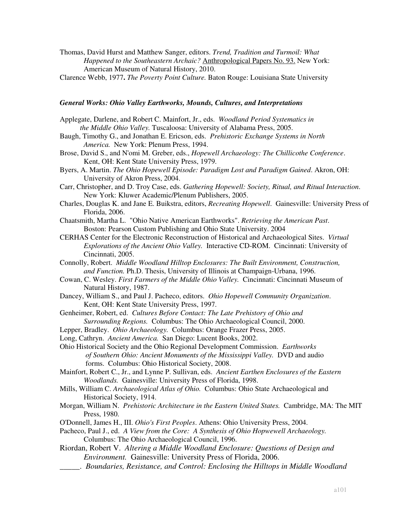- Thomas, David Hurst and Matthew Sanger, editors. *Trend, Tradition and Turmoil: What Happened to the Southeastern Archaic?* Anthropological Papers No. 93. New York: American Museum of Natural History, 2010.
- Clarence Webb, 1977**.** *The Poverty Point Culture.* Baton Rouge: Louisiana State University

## *General Works: Ohio Valley Earthworks, Mounds, Cultures, and Interpretations*

- Applegate, Darlene, and Robert C. Mainfort, Jr., eds. *Woodland Period Systematics in the Middle Ohio Valley.* Tuscaloosa: University of Alabama Press, 2005.
- Baugh, Timothy G., and Jonathan E. Ericson, eds. *Prehistoric Exchange Systems in North America.* New York: Plenum Press, 1994.
- Brose, David S., and N'omi M. Greber, eds., *Hopewell Archaeology: The Chillicothe Conference*. Kent, OH: Kent State University Press, 1979.
- Byers, A. Martin. *The Ohio Hopewell Episode: Paradigm Lost and Paradigm Gained*. Akron, OH: University of Akron Press, 2004.
- Carr, Christopher, and D. Troy Case, eds. *Gathering Hopewell: Society, Ritual, and Ritual Interaction*. New York: Kluwer Academic/Plenum Publishers, 2005.
- Charles, Douglas K. and Jane E. Buikstra, editors, *Recreating Hopewell*. Gainesville: University Press of Florida, 2006.
- Chaatsmith, Martha L. "Ohio Native American Earthworks". *Retrieving the American Past*. Boston: Pearson Custom Publishing and Ohio State University. 2004
- CERHAS Center for the Electronic Reconstruction of Historical and Archaeological Sites. *Virtual Explorations of the Ancient Ohio Valley.* Interactive CD-ROM. Cincinnati: University of Cincinnati, 2005.
- Connolly, Robert. *Middle Woodland Hilltop Enclosures: The Built Environment, Construction, and Function.* Ph.D. Thesis, University of Illinois at Champaign-Urbana, 1996.
- Cowan, C. Wesley. *First Farmers of the Middle Ohio Valley.* Cincinnati: Cincinnati Museum of Natural History, 1987.
- Dancey, William S., and Paul J. Pacheco, editors. *Ohio Hopewell Community Organization*. Kent, OH: Kent State University Press, 1997.
- Genheimer, Robert, ed. *Cultures Before Contact: The Late Prehistory of Ohio and Surrounding Regions.* Columbus: The Ohio Archaeological Council, 2000.
- Lepper, Bradley. *Ohio Archaeology.* Columbus: Orange Frazer Press, 2005.
- Long, Cathryn. *Ancient America.* San Diego: Lucent Books, 2002.
- Ohio Historical Society and the Ohio Regional Development Commission. *Earthworks of Southern Ohio: Ancient Monuments of the Mississippi Valley.* DVD and audio forms. Columbus: Ohio Historical Society, 2008.
- Mainfort, Robert C., Jr., and Lynne P. Sullivan, eds. *Ancient Earthen Enclosures of the Eastern Woodlands.* Gainesville: University Press of Florida, 1998.
- Mills, William C. *Archaeological Atlas of Ohio.* Columbus: Ohio State Archaeological and Historical Society, 1914.
- Morgan, William N. *Prehistoric Architecture in the Eastern United States.* Cambridge, MA: The MIT Press, 1980.
- O'Donnell, James H., III. *Ohio's First Peoples*. Athens: Ohio University Press, 2004.

Pacheco, Paul J., ed. *A View from the Core: A Synthesis of Ohio Hopwewell Archaeology.* Columbus: The Ohio Archaeological Council, 1996.

- Riordan, Robert V. *Altering a Middle Woodland Enclosure: Questions of Design and Environment.* Gainesville: University Press of Florida, 2006.
	- \_\_\_\_\_. *Boundaries, Resistance, and Control: Enclosing the Hilltops in Middle Woodland*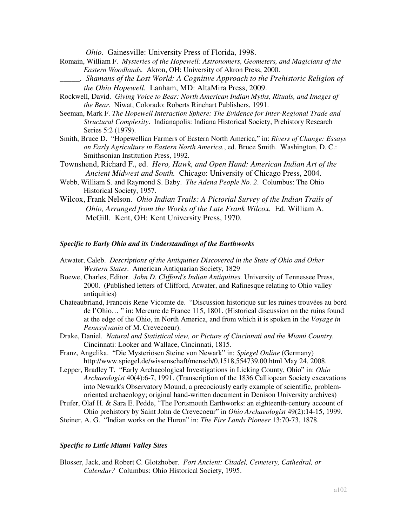*Ohio.* Gainesville: University Press of Florida, 1998.

- Romain, William F. *Mysteries of the Hopewell: Astronomers, Geometers, and Magicians of the Eastern Woodlands.* Akron, OH: University of Akron Press, 2000.
	- \_\_\_\_\_. *Shamans of the Lost World: A Cognitive Approach to the Prehistoric Religion of the Ohio Hopewell.* Lanham, MD: AltaMira Press, 2009.
- Rockwell, David. *Giving Voice to Bear: North American Indian Myths, Rituals, and Images of the Bear.* Niwat, Colorado: Roberts Rinehart Publishers, 1991.
- Seeman, Mark F. *The Hopewell Interaction Sphere: The Evidence for Inter-Regional Trade and Structural Complexity*. Indianapolis: Indiana Historical Society, Prehistory Research Series 5:2 (1979).
- Smith, Bruce D. "Hopewellian Farmers of Eastern North America," in: *Rivers of Change: Essays on Early Agriculture in Eastern North America.*, ed. Bruce Smith. Washington, D. C.: Smithsonian Institution Press, 1992.
- Townshend, Richard F., ed. *Hero, Hawk, and Open Hand: American Indian Art of the Ancient Midwest and South.* Chicago: University of Chicago Press, 2004.
- Webb, William S. and Raymond S. Baby. *The Adena People No. 2*. Columbus: The Ohio Historical Society, 1957.
- Wilcox, Frank Nelson. *Ohio Indian Trails: A Pictorial Survey of the Indian Trails of Ohio, Arranged from the Works of the Late Frank Wilcox.* Ed. William A. McGill. Kent, OH: Kent University Press, 1970.

### *Specific to Early Ohio and its Understandings of the Earthworks*

- Atwater, Caleb. *Descriptions of the Antiquities Discovered in the State of Ohio and Other Western States*. American Antiquarian Society, 1829
- Boewe, Charles, Editor. *John D. Clifford's Indian Antiquities.* University of Tennessee Press, 2000. (Published letters of Clifford, Atwater, and Rafinesque relating to Ohio valley antiquities)
- Chateaubriand, Francois Rene Vicomte de. "Discussion historique sur les ruines trouvées au bord de l'Ohio… " in: Mercure de France 115, 1801. (Historical discussion on the ruins found at the edge of the Ohio, in North America, and from which it is spoken in the *Voyage in Pennsylvania* of M. Crevecoeur).
- Drake, Daniel. *Natural and Statistical view, or Picture of Cincinnati and the Miami Country.* Cincinnati: Looker and Wallace, Cincinnati, 1815.
- Franz, Angelika. "Die Mysteriösen Steine von Newark" in: *Spiegel Online* (Germany) http://www.spiegel.de/wissenschaft/mensch/0,1518,554739,00.html May 24, 2008.
- Lepper, Bradley T. "Early Archaeological Investigations in Licking County, Ohio" in: *Ohio Archaeologist* 40(4):6-7, 1991. (Transcription of the 1836 Calliopean Society excavations into Newark's Observatory Mound, a precociously early example of scientific, problemoriented archaeology; original hand-written document in Denison University archives)
- Prufer, Olaf H. & Sara E. Pedde, "The Portsmouth Earthworks: an eighteenth-century account of Ohio prehistory by Saint John de Crevecoeur" in *Ohio Archaeologist* 49(2):14-15, 1999.
- Steiner, A. G. "Indian works on the Huron" in: *The Fire Lands Pioneer* 13:70-73, 1878.

## *Specific to Little Miami Valley Sites*

Blosser, Jack, and Robert C. Glotzhober. *Fort Ancient: Citadel, Cemetery, Cathedral, or Calendar?* Columbus: Ohio Historical Society, 1995.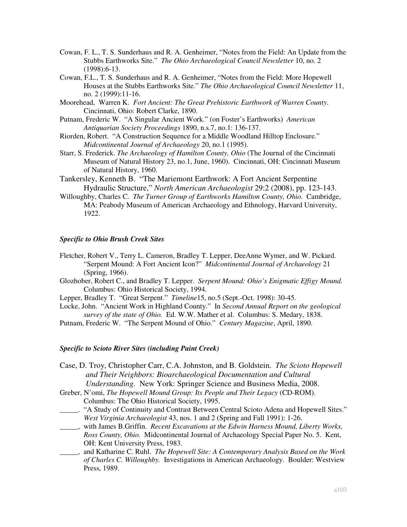- Cowan, F. L., T. S. Sunderhaus and R. A. Genheimer, "Notes from the Field: An Update from the Stubbs Earthworks Site." *The Ohio Archaeological Council Newsletter* 10, no. 2 (1998):6-13.
- Cowan, F.L., T. S. Sunderhaus and R. A. Genheimer, "Notes from the Field: More Hopewell Houses at the Stubbs Earthworks Site." *The Ohio Archaeological Council Newsletter* 11, no. 2 (1999):11-16.
- Moorehead, Warren K. *Fort Ancient: The Great Prehistoric Earthwork of Warren County*. Cincinnati, Ohio: Robert Clarke, 1890.
- Putnam, Frederic W. "A Singular Ancient Work." (on Foster's Earthworks) *American Antiquarian Society Proceedings* 1890, n.s.7, no.1: 136-137.
- Riorden, Robert. "A Construction Sequence for a Middle Woodland Hilltop Enclosure." *Midcontinental Journal of Archaeology* 20, no.1 (1995).
- Starr, S. Frederick. *The Archaeology of Hamilton County, Ohio* (The Journal of the Cincinnati Museum of Natural History 23, no.1, June, 1960). Cincinnati, OH: Cincinnati Museum of Natural History, 1960.
- Tankersley, Kenneth B. "The Mariemont Earthwork: A Fort Ancient Serpentine Hydraulic Structure," *North American Archaeologist* 29:2 (2008), pp. 123-143.
- Willoughby, Charles C. *The Turner Group of Earthworks Hamilton County, Ohio.* Cambridge, MA: Peabody Museum of American Archaeology and Ethnology, Harvard University, 1922.

## *Specific to Ohio Brush Creek Sites*

- Fletcher, Robert V., Terry L. Cameron, Bradley T. Lepper, DeeAnne Wymer, and W. Pickard. "Serpent Mound: A Fort Ancient Icon?" *Midcontinental Journal of Archaeology* 21 (Spring, 1966).
- Glozhober, Robert C., and Bradley T. Lepper. *Serpent Mound: Ohio's Enigmatic Effigy Mound.*  Columbus: Ohio Historical Society, 1994.
- Lepper, Bradley T. "Great Serpent." *Timeline*15, no.5 (Sept.-Oct. 1998): 30-45.
- Locke, John. "Ancient Work in Highland County." In *Second Annual Report on the geological survey of the state of Ohio.* Ed. W.W. Mather et al. Columbus: S. Medary, 1838.
- Putnam, Frederic W. "The Serpent Mound of Ohio." *Century Magazine*, April, 1890.

# *Specific to Scioto River Sites (including Paint Creek)*

- Case, D. Troy, Christopher Carr, C.A. Johnston, and B. Goldstein. *The Scioto Hopewell and Their Neighbors: Bioarchaeological Documentation and Cultural Understanding.* New York: Springer Science and Business Media, 2008.
- Greber, N'omi, *The Hopewell Mound Group: Its People and Their Legacy* (CD-ROM). Columbus: The Ohio Historical Society, 1995.
- \_\_\_\_\_. "A Study of Continuity and Contrast Between Central Scioto Adena and Hopewell Sites." *West Virginia Archaeologist* 43, nos. 1 and 2 (Spring and Fall 1991): 1-26.
- \_\_\_\_\_, with James B.Griffin. *Recent Excavations at the Edwin Harness Mound, Liberty Works, Ross County, Ohio.* Midcontinental Journal of Archaeology Special Paper No. 5. Kent, OH: Kent University Press, 1983.
- \_\_\_\_\_, and Katharine C. Ruhl. *The Hopewell Site: A Contemporary Analysis Based on the Work of Charles C. Willoughby.* Investigations in American Archaeology. Boulder: Westview Press, 1989.